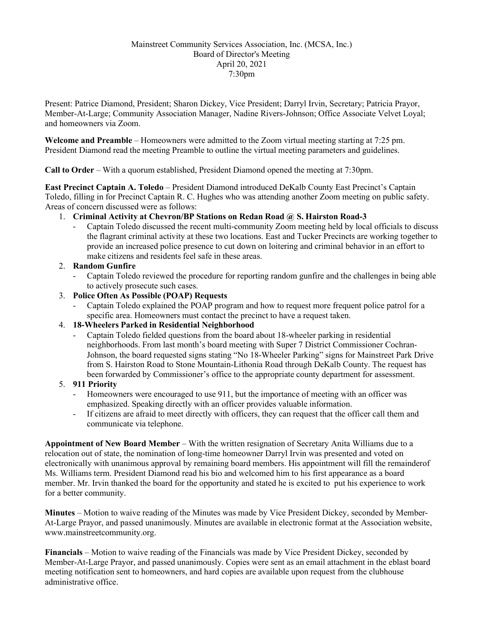## Mainstreet Community Services Association, Inc. (MCSA, Inc.) Board of Director's Meeting April 20, 2021 7:30pm

Present: Patrice Diamond, President; Sharon Dickey, Vice President; Darryl Irvin, Secretary; Patricia Prayor, Member-At-Large; Community Association Manager, Nadine Rivers-Johnson; Office Associate Velvet Loyal; and homeowners via Zoom.

**Welcome and Preamble** – Homeowners were admitted to the Zoom virtual meeting starting at 7:25 pm. President Diamond read the meeting Preamble to outline the virtual meeting parameters and guidelines.

**Call to Order** – With a quorum established, President Diamond opened the meeting at 7:30pm.

**East Precinct Captain A. Toledo** – President Diamond introduced DeKalb County East Precinct's Captain Toledo, filling in for Precinct Captain R. C. Hughes who was attending another Zoom meeting on public safety. Areas of concern discussed were as follows:

- 1. **Criminal Activity at Chevron/BP Stations on Redan Road @ S. Hairston Road-3**
	- Captain Toledo discussed the recent multi-community Zoom meeting held by local officials to discuss the flagrant criminal activity at these two locations. East and Tucker Precincts are working together to provide an increased police presence to cut down on loitering and criminal behavior in an effort to make citizens and residents feel safe in these areas.

# 2. **Random Gunfire**

- Captain Toledo reviewed the procedure for reporting random gunfire and the challenges in being able to actively prosecute such cases.

# 3. **Police Often As Possible (POAP) Requests**

- Captain Toledo explained the POAP program and how to request more frequent police patrol for a specific area. Homeowners must contact the precinct to have a request taken.

### 4. **18-Wheelers Parked in Residential Neighborhood**

- Captain Toledo fielded questions from the board about 18-wheeler parking in residential neighborhoods. From last month's board meeting with Super 7 District Commissioner Cochran-Johnson, the board requested signs stating "No 18-Wheeler Parking" signs for Mainstreet Park Drive from S. Hairston Road to Stone Mountain-Lithonia Road through DeKalb County. The request has been forwarded by Commissioner's office to the appropriate county department for assessment.

### 5. **911 Priority**

- Homeowners were encouraged to use 911, but the importance of meeting with an officer was emphasized. Speaking directly with an officer provides valuable information.
- If citizens are afraid to meet directly with officers, they can request that the officer call them and communicate via telephone.

**Appointment of New Board Member** – With the written resignation of Secretary Anita Williams due to a relocation out of state, the nomination of long-time homeowner Darryl Irvin was presented and voted on electronically with unanimous approval by remaining board members. His appointment will fill the remainderof Ms. Williams term. President Diamond read his bio and welcomed him to his first appearance as a board member. Mr. Irvin thanked the board for the opportunity and stated he is excited to put his experience to work for a better community.

**Minutes** – Motion to waive reading of the Minutes was made by Vice President Dickey, seconded by Member-At-Large Prayor, and passed unanimously. Minutes are available in electronic format at the Association website, [www.mainstreetcommunity.org.](http://www.mainstreetcommunity.org/)

**Financials** – Motion to waive reading of the Financials was made by Vice President Dickey, seconded by Member-At-Large Prayor, and passed unanimously. Copies were sent as an email attachment in the eblast board meeting notification sent to homeowners, and hard copies are available upon request from the clubhouse administrative office.